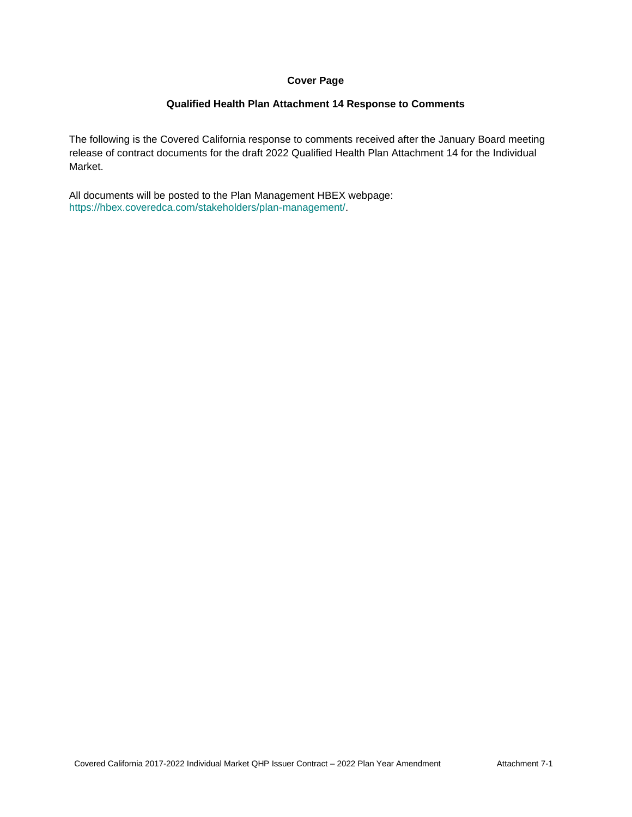#### **Cover Page**

#### **Qualified Health Plan Attachment 14 Response to Comments**

The following is the Covered California response to comments received after the January Board meeting release of contract documents for the draft 2022 Qualified Health Plan Attachment 14 for the Individual Market.

All documents will be posted to the Plan Management HBEX webpage: https://hbex.coveredca.com/stakeholders/plan-management/.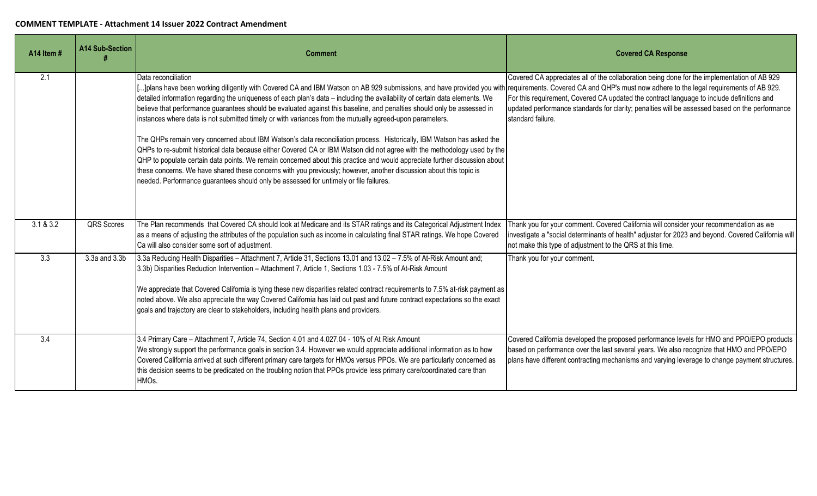| A14 Item #       | <b>A14 Sub-Section</b> | <b>Comment</b>                                                                                                                                                                                                                                                                                                                                                                                                                                                                                                                                                                                                                                                                                                                                                                                                                                                                                                                                                                                                                                                                                                                                                                                              | <b>Covered CA Response</b>                                                                                                                                                                                                                                                                                      |
|------------------|------------------------|-------------------------------------------------------------------------------------------------------------------------------------------------------------------------------------------------------------------------------------------------------------------------------------------------------------------------------------------------------------------------------------------------------------------------------------------------------------------------------------------------------------------------------------------------------------------------------------------------------------------------------------------------------------------------------------------------------------------------------------------------------------------------------------------------------------------------------------------------------------------------------------------------------------------------------------------------------------------------------------------------------------------------------------------------------------------------------------------------------------------------------------------------------------------------------------------------------------|-----------------------------------------------------------------------------------------------------------------------------------------------------------------------------------------------------------------------------------------------------------------------------------------------------------------|
| 2.1              |                        | Data reconciliation<br>]plans have been working diligently with Covered CA and IBM Watson on AB 929 submissions, and have provided you with requirements. Covered CA and QHP's must now adhere to the legal requirements of AB 929.<br>detailed information regarding the uniqueness of each plan's data - including the availability of certain data elements. We<br>believe that performance guarantees should be evaluated against this baseline, and penalties should only be assessed in<br>instances where data is not submitted timely or with variances from the mutually agreed-upon parameters.<br>The QHPs remain very concerned about IBM Watson's data reconciliation process. Historically, IBM Watson has asked the<br>QHPs to re-submit historical data because either Covered CA or IBM Watson did not agree with the methodology used by the<br>QHP to populate certain data points. We remain concerned about this practice and would appreciate further discussion about<br>these concerns. We have shared these concerns with you previously; however, another discussion about this topic is<br>needed. Performance guarantees should only be assessed for untimely or file failures. | Covered CA appreciates all of the collaboration being done for the implementation of AB 929<br>For this requirement, Covered CA updated the contract language to include definitions and<br>updated performance standards for clarity; penalties will be assessed based on the performance<br>standard failure. |
| 3.1 & 8.3.2      | QRS Scores             | The Plan recommends that Covered CA should look at Medicare and its STAR ratings and its Categorical Adjustment Index<br>as a means of adjusting the attributes of the population such as income in calculating final STAR ratings. We hope Covered<br>Ca will also consider some sort of adjustment.                                                                                                                                                                                                                                                                                                                                                                                                                                                                                                                                                                                                                                                                                                                                                                                                                                                                                                       | Thank you for your comment. Covered California will consider your recommendation as we<br>investigate a "social determinants of health" adjuster for 2023 and beyond. Covered California will<br>not make this type of adjustment to the QRS at this time.                                                      |
| $\overline{3.3}$ | 3.3a and 3.3b          | 3.3a Reducing Health Disparities - Attachment 7, Article 31, Sections 13.01 and 13.02 - 7.5% of At-Risk Amount and;<br>3.3b) Disparities Reduction Intervention - Attachment 7, Article 1, Sections 1.03 - 7.5% of At-Risk Amount<br>We appreciate that Covered California is tying these new disparities related contract requirements to 7.5% at-risk payment as<br>noted above. We also appreciate the way Covered California has laid out past and future contract expectations so the exact<br>goals and trajectory are clear to stakeholders, including health plans and providers.                                                                                                                                                                                                                                                                                                                                                                                                                                                                                                                                                                                                                   | Thank you for your comment.                                                                                                                                                                                                                                                                                     |
| 3.4              |                        | 3.4 Primary Care - Attachment 7, Article 74, Section 4.01 and 4.027.04 - 10% of At Risk Amount<br>We strongly support the performance goals in section 3.4. However we would appreciate additional information as to how<br>Covered California arrived at such different primary care targets for HMOs versus PPOs. We are particularly concerned as<br>this decision seems to be predicated on the troubling notion that PPOs provide less primary care/coordinated care than<br>HMO <sub>s</sub> .                                                                                                                                                                                                                                                                                                                                                                                                                                                                                                                                                                                                                                                                                                        | Covered California developed the proposed performance levels for HMO and PPO/EPO products<br>based on performance over the last several years. We also recognize that HMO and PPO/EPO<br>plans have different contracting mechanisms and varying leverage to change payment structures.                         |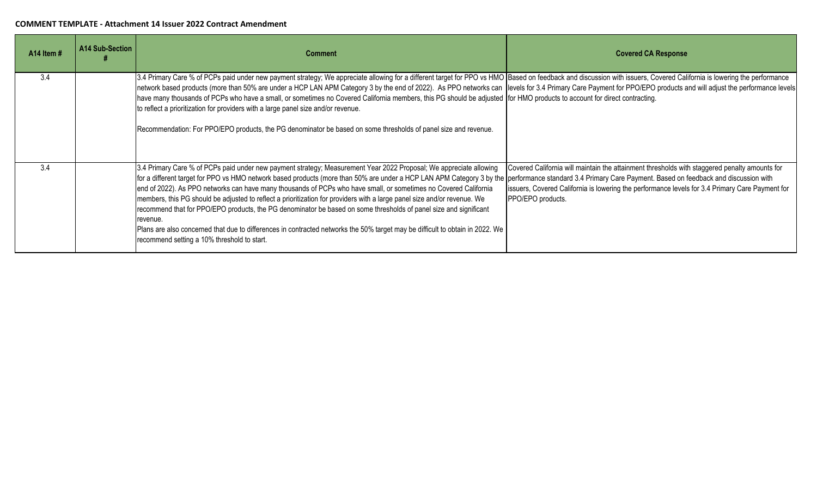| A14 Item# | A14 Sub-Section | <b>Comment</b>                                                                                                                                                                                                                                                                                                                                                                                                                                                                                                                                                                                                                                                                                                                                                                                                                                                                                    | <b>Covered CA Response</b>                                                                                                                                                                                            |
|-----------|-----------------|---------------------------------------------------------------------------------------------------------------------------------------------------------------------------------------------------------------------------------------------------------------------------------------------------------------------------------------------------------------------------------------------------------------------------------------------------------------------------------------------------------------------------------------------------------------------------------------------------------------------------------------------------------------------------------------------------------------------------------------------------------------------------------------------------------------------------------------------------------------------------------------------------|-----------------------------------------------------------------------------------------------------------------------------------------------------------------------------------------------------------------------|
| 3.4       |                 | 3.4 Primary Care % of PCPs paid under new payment strategy; We appreciate allowing for a different target for PPO vs HMO Based on feedback and discussion with issuers, Covered California is lowering the performance<br>network based products (more than 50% are under a HCP LAN APM Category 3 by the end of 2022). As PPO networks can levels for 3.4 Primary Care Payment for PPO/EPO products and will adjust the performance levels<br>have many thousands of PCPs who have a small, or sometimes no Covered California members, this PG should be adjusted for HMO products to account for direct contracting.<br>to reflect a prioritization for providers with a large panel size and/or revenue.<br>Recommendation: For PPO/EPO products, the PG denominator be based on some thresholds of panel size and revenue.                                                                   |                                                                                                                                                                                                                       |
| 3.4       |                 | 3.4 Primary Care % of PCPs paid under new payment strategy; Measurement Year 2022 Proposal; We appreciate allowing<br>for a different target for PPO vs HMO network based products (more than 50% are under a HCP LAN APM Category 3 by the performance standard 3.4 Primary Care Payment. Based on feedback and discussion with<br>end of 2022). As PPO networks can have many thousands of PCPs who have small, or sometimes no Covered California<br>members, this PG should be adjusted to reflect a prioritization for providers with a large panel size and/or revenue. We<br>recommend that for PPO/EPO products, the PG denominator be based on some thresholds of panel size and significant<br>revenue.<br>Plans are also concerned that due to differences in contracted networks the 50% target may be difficult to obtain in 2022. We<br>recommend setting a 10% threshold to start. | Covered California will maintain the attainment thresholds with staggered penalty amounts for<br>issuers, Covered California is lowering the performance levels for 3.4 Primary Care Payment for<br>PPO/EPO products. |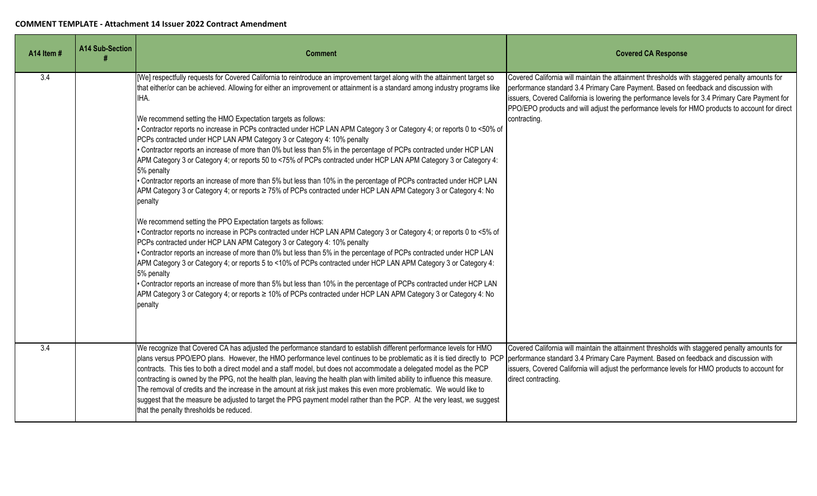| A14 Item # | <b>A14 Sub-Section</b> | <b>Comment</b>                                                                                                                                                                                                                                                                                                                                                                                                                                                                                                                                                                                                                                                                                                                                                                                                                                                                                                                                                                                                                                                                                                                                                                                                                                                                                                                                                                                                                                                                                                                                                                                                                                                                                                                                                                                                                                      | <b>Covered CA Response</b>                                                                                                                                                                                                                                                                                                                                                                                 |
|------------|------------------------|-----------------------------------------------------------------------------------------------------------------------------------------------------------------------------------------------------------------------------------------------------------------------------------------------------------------------------------------------------------------------------------------------------------------------------------------------------------------------------------------------------------------------------------------------------------------------------------------------------------------------------------------------------------------------------------------------------------------------------------------------------------------------------------------------------------------------------------------------------------------------------------------------------------------------------------------------------------------------------------------------------------------------------------------------------------------------------------------------------------------------------------------------------------------------------------------------------------------------------------------------------------------------------------------------------------------------------------------------------------------------------------------------------------------------------------------------------------------------------------------------------------------------------------------------------------------------------------------------------------------------------------------------------------------------------------------------------------------------------------------------------------------------------------------------------------------------------------------------------|------------------------------------------------------------------------------------------------------------------------------------------------------------------------------------------------------------------------------------------------------------------------------------------------------------------------------------------------------------------------------------------------------------|
| 3.4        |                        | [We] respectfully requests for Covered California to reintroduce an improvement target along with the attainment target so<br>that either/or can be achieved. Allowing for either an improvement or attainment is a standard among industry programs like<br>IHA.<br>We recommend setting the HMO Expectation targets as follows:<br>• Contractor reports no increase in PCPs contracted under HCP LAN APM Category 3 or Category 4; or reports 0 to <50% of<br>PCPs contracted under HCP LAN APM Category 3 or Category 4: 10% penalty<br>• Contractor reports an increase of more than 0% but less than 5% in the percentage of PCPs contracted under HCP LAN<br>APM Category 3 or Category 4; or reports 50 to <75% of PCPs contracted under HCP LAN APM Category 3 or Category 4:<br>5% penalty<br>• Contractor reports an increase of more than 5% but less than 10% in the percentage of PCPs contracted under HCP LAN<br>APM Category 3 or Category 4; or reports ≥ 75% of PCPs contracted under HCP LAN APM Category 3 or Category 4: No<br>penalty<br>We recommend setting the PPO Expectation targets as follows:<br>• Contractor reports no increase in PCPs contracted under HCP LAN APM Category 3 or Category 4; or reports 0 to <5% of<br>PCPs contracted under HCP LAN APM Category 3 or Category 4: 10% penalty<br>. Contractor reports an increase of more than 0% but less than 5% in the percentage of PCPs contracted under HCP LAN<br>APM Category 3 or Category 4; or reports 5 to <10% of PCPs contracted under HCP LAN APM Category 3 or Category 4:<br>5% penalty<br>• Contractor reports an increase of more than 5% but less than 10% in the percentage of PCPs contracted under HCP LAN<br>APM Category 3 or Category 4; or reports ≥ 10% of PCPs contracted under HCP LAN APM Category 3 or Category 4: No<br>penalty | Covered California will maintain the attainment thresholds with staggered penalty amounts for<br>performance standard 3.4 Primary Care Payment. Based on feedback and discussion with<br>issuers, Covered California is lowering the performance levels for 3.4 Primary Care Payment for<br>PPO/EPO products and will adjust the performance levels for HMO products to account for direct<br>contracting. |
| 3.4        |                        | We recognize that Covered CA has adjusted the performance standard to establish different performance levels for HMO<br>plans versus PPO/EPO plans. However, the HMO performance level continues to be problematic as it is tied directly to PCP performance standard 3.4 Primary Care Payment. Based on feedback and discussion with<br>contracts. This ties to both a direct model and a staff model, but does not accommodate a delegated model as the PCP<br>contracting is owned by the PPG, not the health plan, leaving the health plan with limited ability to influence this measure.<br>The removal of credits and the increase in the amount at risk just makes this even more problematic. We would like to<br>suggest that the measure be adjusted to target the PPG payment model rather than the PCP. At the very least, we suggest<br>that the penalty thresholds be reduced.                                                                                                                                                                                                                                                                                                                                                                                                                                                                                                                                                                                                                                                                                                                                                                                                                                                                                                                                                       | Covered California will maintain the attainment thresholds with staggered penalty amounts for<br>issuers, Covered California will adjust the performance levels for HMO products to account for<br>direct contracting.                                                                                                                                                                                     |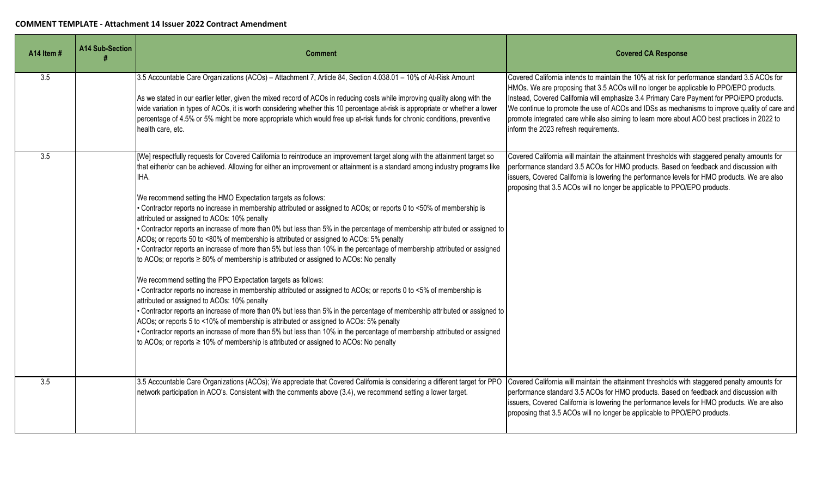| A14 Item # | <b>A14 Sub-Section</b> | <b>Comment</b>                                                                                                                                                                                                                                                                                                                                                                                                                                                                                                                                                                                                                                                                                                                                                                                                                                                                                                                                                                                                                                                                                                                                                                                                                                                                                                                                                                                                                                                                                                                                                                                                                          | <b>Covered CA Response</b>                                                                                                                                                                                                                                                                                                                                                                                                                                                                                                  |
|------------|------------------------|-----------------------------------------------------------------------------------------------------------------------------------------------------------------------------------------------------------------------------------------------------------------------------------------------------------------------------------------------------------------------------------------------------------------------------------------------------------------------------------------------------------------------------------------------------------------------------------------------------------------------------------------------------------------------------------------------------------------------------------------------------------------------------------------------------------------------------------------------------------------------------------------------------------------------------------------------------------------------------------------------------------------------------------------------------------------------------------------------------------------------------------------------------------------------------------------------------------------------------------------------------------------------------------------------------------------------------------------------------------------------------------------------------------------------------------------------------------------------------------------------------------------------------------------------------------------------------------------------------------------------------------------|-----------------------------------------------------------------------------------------------------------------------------------------------------------------------------------------------------------------------------------------------------------------------------------------------------------------------------------------------------------------------------------------------------------------------------------------------------------------------------------------------------------------------------|
| 3.5        |                        | 3.5 Accountable Care Organizations (ACOs) - Attachment 7, Article 84, Section 4.038.01 - 10% of At-Risk Amount<br>As we stated in our earlier letter, given the mixed record of ACOs in reducing costs while improving quality along with the<br>wide variation in types of ACOs, it is worth considering whether this 10 percentage at-risk is appropriate or whether a lower<br>percentage of 4.5% or 5% might be more appropriate which would free up at-risk funds for chronic conditions, preventive<br>health care, etc.                                                                                                                                                                                                                                                                                                                                                                                                                                                                                                                                                                                                                                                                                                                                                                                                                                                                                                                                                                                                                                                                                                          | Covered California intends to maintain the 10% at risk for performance standard 3.5 ACOs for<br>HMOs. We are proposing that 3.5 ACOs will no longer be applicable to PPO/EPO products.<br>Instead, Covered California will emphasize 3.4 Primary Care Payment for PPO/EPO products.<br>We continue to promote the use of ACOs and IDSs as mechanisms to improve quality of care and<br>promote integrated care while also aiming to learn more about ACO best practices in 2022 to<br>inform the 2023 refresh requirements. |
| 3.5        |                        | [We] respectfully requests for Covered California to reintroduce an improvement target along with the attainment target so<br>that either/or can be achieved. Allowing for either an improvement or attainment is a standard among industry programs like<br>IHA.<br>We recommend setting the HMO Expectation targets as follows:<br>Contractor reports no increase in membership attributed or assigned to ACOs; or reports 0 to <50% of membership is<br>attributed or assigned to ACOs: 10% penalty<br>Contractor reports an increase of more than 0% but less than 5% in the percentage of membership attributed or assigned to<br>ACOs; or reports 50 to <80% of membership is attributed or assigned to ACOs: 5% penalty<br>• Contractor reports an increase of more than 5% but less than 10% in the percentage of membership attributed or assigned<br>to ACOs; or reports ≥ 80% of membership is attributed or assigned to ACOs: No penalty<br>We recommend setting the PPO Expectation targets as follows:<br>Contractor reports no increase in membership attributed or assigned to ACOs; or reports 0 to <5% of membership is<br>attributed or assigned to ACOs: 10% penalty<br>• Contractor reports an increase of more than 0% but less than 5% in the percentage of membership attributed or assigned to<br>ACOs; or reports 5 to <10% of membership is attributed or assigned to ACOs: 5% penalty<br>• Contractor reports an increase of more than 5% but less than 10% in the percentage of membership attributed or assigned<br>to ACOs; or reports ≥ 10% of membership is attributed or assigned to ACOs: No penalty | Covered California will maintain the attainment thresholds with staggered penalty amounts for<br>performance standard 3.5 ACOs for HMO products. Based on feedback and discussion with<br>issuers, Covered California is lowering the performance levels for HMO products. We are also<br>proposing that 3.5 ACOs will no longer be applicable to PPO/EPO products.                                                                                                                                                         |
| 3.5        |                        | 3.5 Accountable Care Organizations (ACOs); We appreciate that Covered California is considering a different target for PPO<br>network participation in ACO's. Consistent with the comments above (3.4), we recommend setting a lower target.                                                                                                                                                                                                                                                                                                                                                                                                                                                                                                                                                                                                                                                                                                                                                                                                                                                                                                                                                                                                                                                                                                                                                                                                                                                                                                                                                                                            | Covered California will maintain the attainment thresholds with staggered penalty amounts for<br>performance standard 3.5 ACOs for HMO products. Based on feedback and discussion with<br>issuers, Covered California is lowering the performance levels for HMO products. We are also<br>proposing that 3.5 ACOs will no longer be applicable to PPO/EPO products.                                                                                                                                                         |